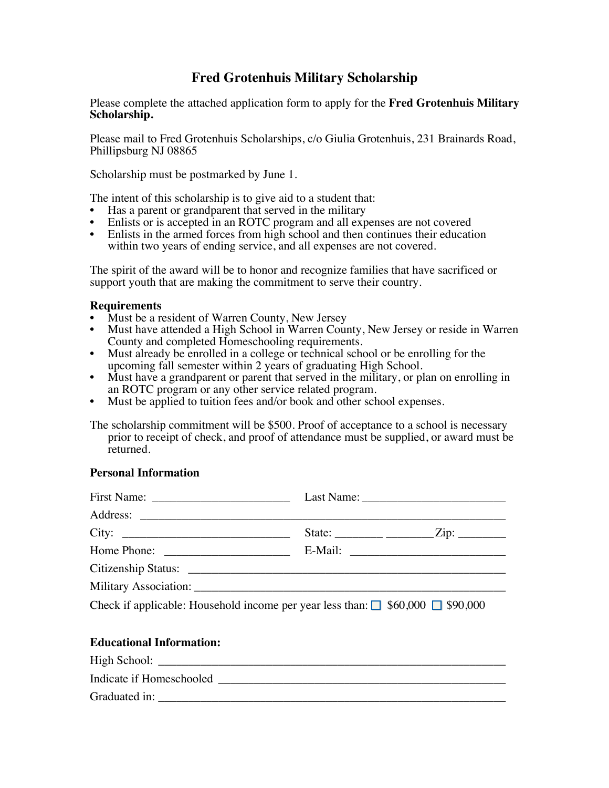# **Fred Grotenhuis Military Scholarship**

Please complete the attached application form to apply for the **Fred Grotenhuis Military Scholarship.**

Please mail to Fred Grotenhuis Scholarships, c/o Giulia Grotenhuis, 231 Brainards Road, Phillipsburg NJ 08865

Scholarship must be postmarked by June 1.

The intent of this scholarship is to give aid to a student that:

- Has a parent or grandparent that served in the military
- Enlists or is accepted in an ROTC program and all expenses are not covered
- Enlists in the armed forces from high school and then continues their education within two years of ending service, and all expenses are not covered.

The spirit of the award will be to honor and recognize families that have sacrificed or support youth that are making the commitment to serve their country.

#### **Requirements**

- Must be a resident of Warren County, New Jersey
- Must have attended a High School in Warren County, New Jersey or reside in Warren County and completed Homeschooling requirements.
- Must already be enrolled in a college or technical school or be enrolling for the upcoming fall semester within 2 years of graduating High School.
- Must have a grandparent or parent that served in the military, or plan on enrolling in an ROTC program or any other service related program.
- Must be applied to tuition fees and/or book and other school expenses.

The scholarship commitment will be \$500. Proof of acceptance to a school is necessary prior to receipt of check, and proof of attendance must be supplied, or award must be returned.

### **Personal Information**

| City:                                                                                     |  |  |  |  |  |
|-------------------------------------------------------------------------------------------|--|--|--|--|--|
|                                                                                           |  |  |  |  |  |
|                                                                                           |  |  |  |  |  |
|                                                                                           |  |  |  |  |  |
| Check if applicable: Household income per year less than: $\Box$ \$60,000 $\Box$ \$90,000 |  |  |  |  |  |
| <b>Educational Information:</b>                                                           |  |  |  |  |  |

High School: \_\_\_\_\_\_\_\_\_\_\_\_\_\_\_\_\_\_\_\_\_\_\_\_\_\_\_\_\_\_\_\_\_\_\_\_\_\_\_\_\_\_\_\_\_\_\_\_\_\_\_\_\_\_\_\_\_\_ Indicate if Homeschooled \_\_\_\_\_\_\_\_\_\_\_\_\_\_\_\_\_\_\_\_\_\_\_\_\_\_\_\_\_\_\_\_\_\_\_\_\_\_\_\_\_\_\_\_\_\_\_\_ Graduated in: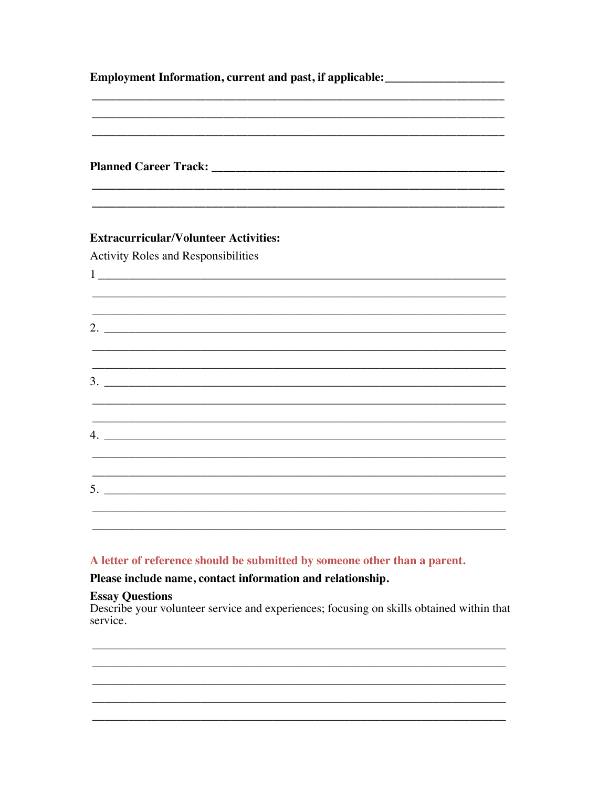| Employment Information, current and past, if applicable: _______________________ |                                                                                            |  |  |  |  |  |
|----------------------------------------------------------------------------------|--------------------------------------------------------------------------------------------|--|--|--|--|--|
|                                                                                  |                                                                                            |  |  |  |  |  |
|                                                                                  | <b>Extracurricular/Volunteer Activities:</b><br><b>Activity Roles and Responsibilities</b> |  |  |  |  |  |
|                                                                                  |                                                                                            |  |  |  |  |  |
|                                                                                  |                                                                                            |  |  |  |  |  |
|                                                                                  | $3.$ $\overline{\phantom{a}}$                                                              |  |  |  |  |  |
|                                                                                  | $4. \_$                                                                                    |  |  |  |  |  |
|                                                                                  |                                                                                            |  |  |  |  |  |

## A letter of reference should be submitted by someone other than a parent.

## Please include name, contact information and relationship.

Essay Questions<br>Describe your volunteer service and experiences; focusing on skills obtained within that service.